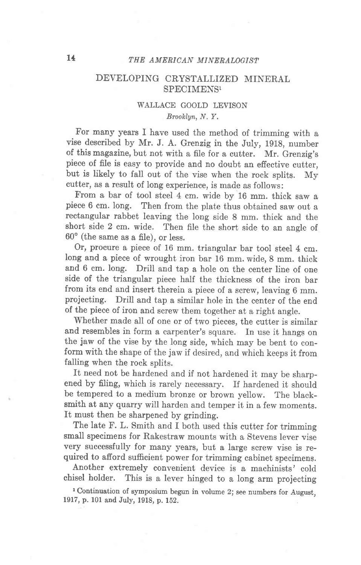# 14 THE AMERICAN MINERALOGIST

## DEVELOPING CRYSTALLIZED MINERAL SPECIMENS<sup>1</sup>

### WALLACE GOOLD LEVISON Brooklyn, N. Y,

For many years I have used the method of trimming with a vise described by Mr. J. A. Grenzig in the July, 1g18, number of this magazine, but not with a file for a cutter. Mr. Grenzig's piece of file is easy to provide and no doubt an effective cutter, but is likely to fall out of the vise when the rock splits. My cutter, as a result of long experience, is made as follows:

From a bar of tool steel 4 cm. wide by 16 mm. thick saw a piece 6 cm. long. Then from the plate thus obtained saw out a rectangular rabbet leaving the long side 8 mm. thick and the short side to an angle of Then file the short side to an angle of 60" (the same as a file), or less.

Or, procure a piece of 16 mm. triangular bar tool steel 4 cm. long and a piece of wrought iron bar 16 mm. wide, 8 mm. thick and 6 cm. long. Drill and tap a hole on the center line of one side of the triangular piece half the thickness of the iron bar from its end and insert therein a piece of a screw, leaving 6 mm. projecting. Drill and tap a similar hole in the center of the end of the piece of iron and screw them together at a right angle.

Whether made all of one or of two pieces, the cutter is similar and resembles in form a earpenter's square. In use it hangs on the jaw of the vise by the long side, which may be bent to conform with the shape of the jaw if desired, and which keeps it from falling when the rock splits.

It need not be hardened and if not hardened it may be sharpened by filing, which is rarely necessary. If hardened it should be tempered to a medium bronze or brown yellow. The blacksmith at any quarry will harden and temper it in a few moments. It must then be sharpened by grinding.

The late F. L. Smith and I both used this cutter for trimming small specimens for Rakestraw mounts with a Stevens lever vise very successfully for many years, but a large screw vise is required to afford sufficient power for trimming cabinet specimens.

Another extremely convenient device is a machinists' cold chisel holder. This is a lever hinged to a long arm projecting

r Continuation of symposium begun in volume 2; see numbers for August, 1917, p. 101 and July, 1918, p. 152.